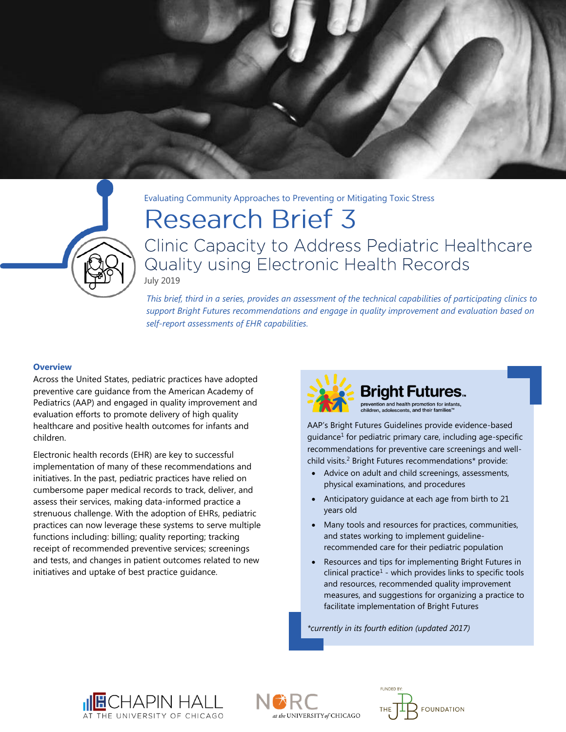

Evaluating Community Approaches to Preventing or Mitigating Toxic Stress

# **Research Brief 3**

Clinic Capacity to Address Pediatric Healthcare Quality using Electronic Health Records July 2019

*This brief, third in a series, provides an assessment of the technical capabilities of participating clinics to support Bright Futures recommendations and engage in quality improvement and evaluation based on self-report assessments of EHR capabilities.*

## **Overview**

Across the United States, pediatric practices have adopted preventive care guidance from the American Academy of Pediatrics (AAP) and engaged in quality improvement and evaluation efforts to promote delivery of high quality healthcare and positive health outcomes for infants and children.

Electronic health records (EHR) are key to successful implementation of many of these recommendations and initiatives. In the past, pediatric practices have relied on cumbersome paper medical records to track, deliver, and assess their services, making data-informed practice a strenuous challenge. With the adoption of EHRs, pediatric practices can now leverage these systems to serve multiple functions including: billing; quality reporting; tracking receipt of recommended preventive services; screenings and tests, and changes in patient outcomes related to new initiatives and uptake of best practice guidance.



AAP's Bright Futures Guidelines provide evidence-based guidance<sup>1</sup> for pediatric primary care, including age-specific recommendations for preventive care screenings and wellchild visits.<sup>2</sup> Bright Futures recommendations\* provide:

- Advice on adult and child screenings, assessments, physical examinations, and procedures
- Anticipatory quidance at each age from birth to 21 years old
- Many tools and resources for practices, communities, and states working to implement guidelinerecommended care for their pediatric population
- Resources and tips for implementing Bright Futures in  $clinical practice<sup>1</sup>$  - which provides links to specific tools and resources, recommended quality improvement measures, and suggestions for organizing a practice to facilitate implementation of Bright Futures

*\*currently in its fourth edition (updated 2017)*





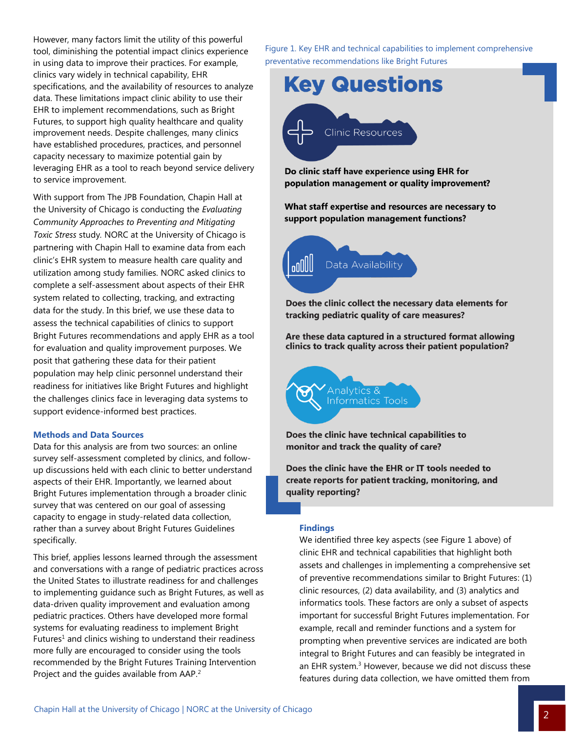However, many factors limit the utility of this powerful tool, diminishing the potential impact clinics experience in using data to improve their practices. For example, clinics vary widely in technical capability, EHR specifications, and the availability of resources to analyze data. These limitations impact clinic ability to use their EHR to implement recommendations, such as Bright Futures, to support high quality healthcare and quality improvement needs. Despite challenges, many clinics have established procedures, practices, and personnel capacity necessary to maximize potential gain by leveraging EHR as a tool to reach beyond service delivery to service improvement.

With support from The JPB Foundation, Chapin Hall at the University of Chicago is conducting the *Evaluating Community Approaches to Preventing and Mitigating Toxic Stress* study*.* NORC at the University of Chicago is partnering with Chapin Hall to examine data from each clinic's EHR system to measure health care quality and utilization among study families. NORC asked clinics to complete a self-assessment about aspects of their EHR system related to collecting, tracking, and extracting data for the study. In this brief, we use these data to assess the technical capabilities of clinics to support Bright Futures recommendations and apply EHR as a tool for evaluation and quality improvement purposes. We posit that gathering these data for their patient population may help clinic personnel understand their readiness for initiatives like Bright Futures and highlight the challenges clinics face in leveraging data systems to support evidence-informed best practices.

#### **Methods and Data Sources**

Data for this analysis are from two sources: an online survey self-assessment completed by clinics, and followup discussions held with each clinic to better understand aspects of their EHR. Importantly, we learned about Bright Futures implementation through a broader clinic survey that was centered on our goal of assessing capacity to engage in study-related data collection, rather than a survey about Bright Futures Guidelines specifically.

This brief, applies lessons learned through the assessment and conversations with a range of pediatric practices across the United States to illustrate readiness for and challenges to implementing guidance such as Bright Futures, as well as data-driven quality improvement and evaluation among pediatric practices. Others have developed more formal systems for evaluating readiness to implement Bright Futures<sup>1</sup> and clinics wishing to understand their readiness more fully are encouraged to consider using the tools recommended by the Bright Futures Training Intervention Project and the guides available from AAP.<sup>2</sup>

Figure 1. Key EHR and technical capabilities to implement comprehensive preventative recommendations like Bright Futures



Do clinic staff have experience using EHR for population management or quality improvement?

What staff expertise and resources are necessary to support population management functions?



Does the clinic collect the necessary data elements for tracking pediatric quality of care measures?

Are these data captured in a structured format allowing clinics to track quality across their patient population?



Does the clinic have technical capabilities to monitor and track the quality of care?

Does the clinic have the EHR or IT tools needed to create reports for patient tracking, monitoring, and quality reporting?

#### **Findings**

We identified three key aspects (see Figure 1 above) of clinic EHR and technical capabilities that highlight both assets and challenges in implementing a comprehensive set of preventive recommendations similar to Bright Futures: (1) clinic resources, (2) data availability, and (3) analytics and informatics tools. These factors are only a subset of aspects important for successful Bright Futures implementation. For example, recall and reminder functions and a system for prompting when preventive services are indicated are both integral to Bright Futures and can feasibly be integrated in an EHR system.<sup>3</sup> However, because we did not discuss these features during data collection, we have omitted them from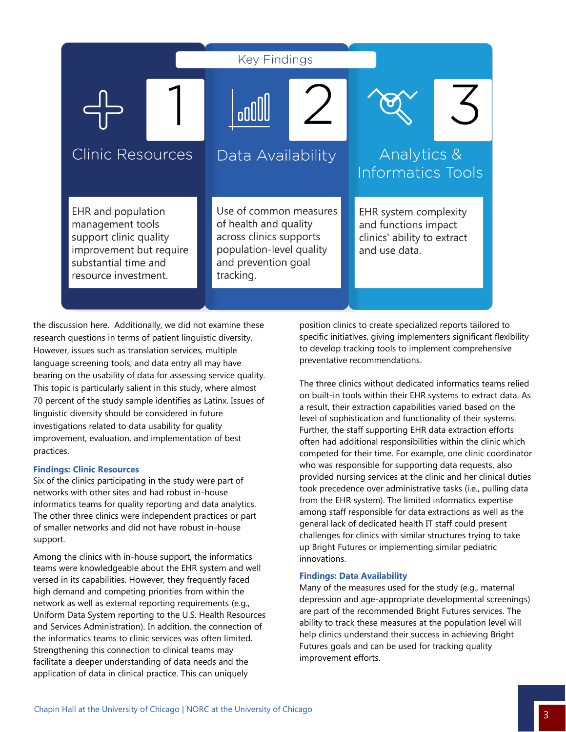

the discussion here. Additionally, we did not examine these research questions in terms of patient linguistic diversity. However, issues such as translation services, multiple language screening tools, and data entry all may have bearing on the usability of data for assessing service quality. This topic is particularly salient in this study, where almost 70 percent of the study sample identifies as Latinx. Issues of linguistic diversity should be considered in future investigations related to data usability for quality improvement, evaluation, and implementation of best practices.

## **Findings: Clinic Resources**

Six of the clinics participating in the study were part of networks with other sites and had robust in-house informatics teams for quality reporting and data analytics. The other three clinics were independent practices or part of smaller networks and did not have robust in-house support.

Among the clinics with in-house support, the informatics teams were knowledgeable about the EHR system and well versed in its capabilities. However, they frequently faced high demand and competing priorities from within the network as well as external reporting requirements (e.g., Uniform Data System reporting to the U.S. Health Resources and Services Administration). In addition, the connection of the informatics teams to clinic services was often limited. Strengthening this connection to clinical teams may facilitate a deeper understanding of data needs and the application of data in clinical practice. This can uniquely

position clinics to create specialized reports tailored to specific initiatives, giving implementers significant flexibility to develop tracking tools to implement comprehensive preventative recommendations.

The three clinics without dedicated informatics teams relied on built-in tools within their EHR systems to extract data. As a result, their extraction capabilities varied based on the level of sophistication and functionality of their systems. Further, the staff supporting EHR data extraction efforts often had additional responsibilities within the clinic which competed for their time. For example, one clinic coordinator who was responsible for supporting data requests, also provided nursing services at the clinic and her clinical duties took precedence over administrative tasks (i.e., pulling data from the EHR system). The limited informatics expertise among staff responsible for data extractions as well as the general lack of dedicated health IT staff could present challenges for clinics with similar structures trying to take up Bright Futures or implementing similar pediatric innovations.

#### **Findings: Data Availability**

Many of the measures used for the study (e.g., maternal depression and age-appropriate developmental screenings) are part of the recommended Bright Futures services. The ability to track these measures at the population level will help clinics understand their success in achieving Bright Futures goals and can be used for tracking quality improvement efforts.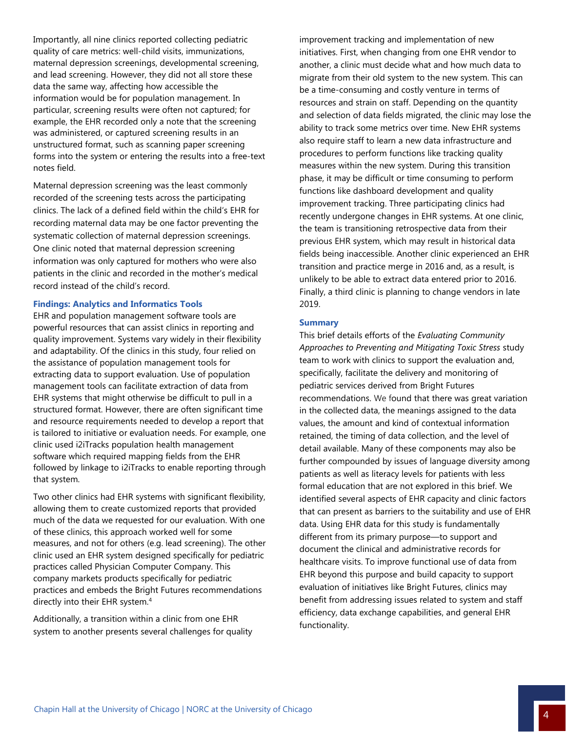Importantly, all nine clinics reported collecting pediatric quality of care metrics: well-child visits, immunizations, maternal depression screenings, developmental screening, and lead screening. However, they did not all store these data the same way, affecting how accessible the information would be for population management. In particular, screening results were often not captured; for example, the EHR recorded only a note that the screening was administered, or captured screening results in an unstructured format, such as scanning paper screening forms into the system or entering the results into a free-text notes field.

Maternal depression screening was the least commonly recorded of the screening tests across the participating clinics. The lack of a defined field within the child's EHR for recording maternal data may be one factor preventing the systematic collection of maternal depression screenings. One clinic noted that maternal depression screening information was only captured for mothers who were also patients in the clinic and recorded in the mother's medical record instead of the child's record.

#### **Findings: Analytics and Informatics Tools**

EHR and population management software tools are powerful resources that can assist clinics in reporting and quality improvement. Systems vary widely in their flexibility and adaptability. Of the clinics in this study, four relied on the assistance of population management tools for extracting data to support evaluation. Use of population management tools can facilitate extraction of data from EHR systems that might otherwise be difficult to pull in a structured format. However, there are often significant time and resource requirements needed to develop a report that is tailored to initiative or evaluation needs. For example, one clinic used i2iTracks population health management software which required mapping fields from the EHR followed by linkage to i2iTracks to enable reporting through that system.

Two other clinics had EHR systems with significant flexibility, allowing them to create customized reports that provided much of the data we requested for our evaluation. With one of these clinics, this approach worked well for some measures, and not for others (e.g. lead screening). The other clinic used an EHR system designed specifically for pediatric practices called Physician Computer Company. This company markets products specifically for pediatric practices and embeds the Bright Futures recommendations directly into their EHR system.<sup>4</sup>

Additionally, a transition within a clinic from one EHR system to another presents several challenges for quality improvement tracking and implementation of new initiatives. First, when changing from one EHR vendor to another, a clinic must decide what and how much data to migrate from their old system to the new system. This can be a time-consuming and costly venture in terms of resources and strain on staff. Depending on the quantity and selection of data fields migrated, the clinic may lose the ability to track some metrics over time. New EHR systems also require staff to learn a new data infrastructure and procedures to perform functions like tracking quality measures within the new system. During this transition phase, it may be difficult or time consuming to perform functions like dashboard development and quality improvement tracking. Three participating clinics had recently undergone changes in EHR systems. At one clinic, the team is transitioning retrospective data from their previous EHR system, which may result in historical data fields being inaccessible. Another clinic experienced an EHR transition and practice merge in 2016 and, as a result, is unlikely to be able to extract data entered prior to 2016. Finally, a third clinic is planning to change vendors in late 2019.

#### **Summary**

This brief details efforts of the *Evaluating Community Approaches to Preventing and Mitigating Toxic Stress* study team to work with clinics to support the evaluation and, specifically, facilitate the delivery and monitoring of pediatric services derived from Bright Futures recommendations. We found that there was great variation in the collected data, the meanings assigned to the data values, the amount and kind of contextual information retained, the timing of data collection, and the level of detail available. Many of these components may also be further compounded by issues of language diversity among patients as well as literacy levels for patients with less formal education that are not explored in this brief. We identified several aspects of EHR capacity and clinic factors that can present as barriers to the suitability and use of EHR data. Using EHR data for this study is fundamentally different from its primary purpose—to support and document the clinical and administrative records for healthcare visits. To improve functional use of data from EHR beyond this purpose and build capacity to support evaluation of initiatives like Bright Futures, clinics may benefit from addressing issues related to system and staff efficiency, data exchange capabilities, and general EHR functionality.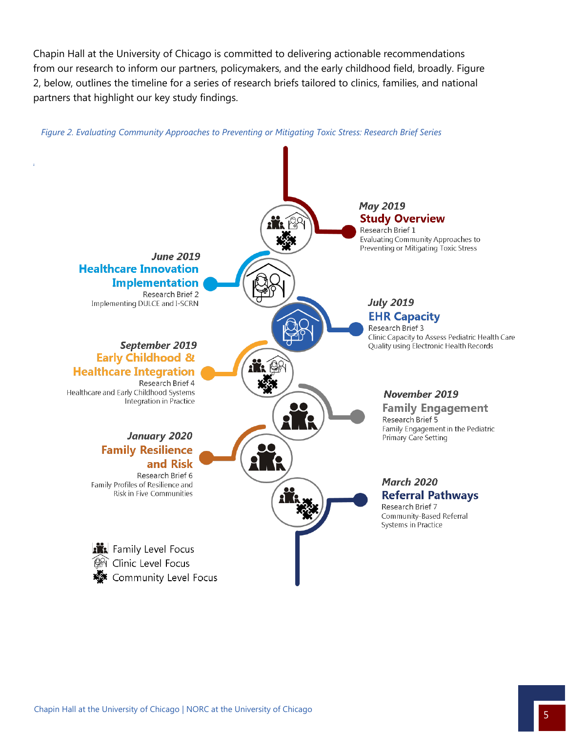Chapin Hall at the University of Chicago is committed to delivering actionable recommendations from our research to inform our partners, policymakers, and the early childhood field, broadly. Figure 2, below, outlines the timeline for a series of research briefs tailored to clinics, families, and national partners that highlight our key study findings.